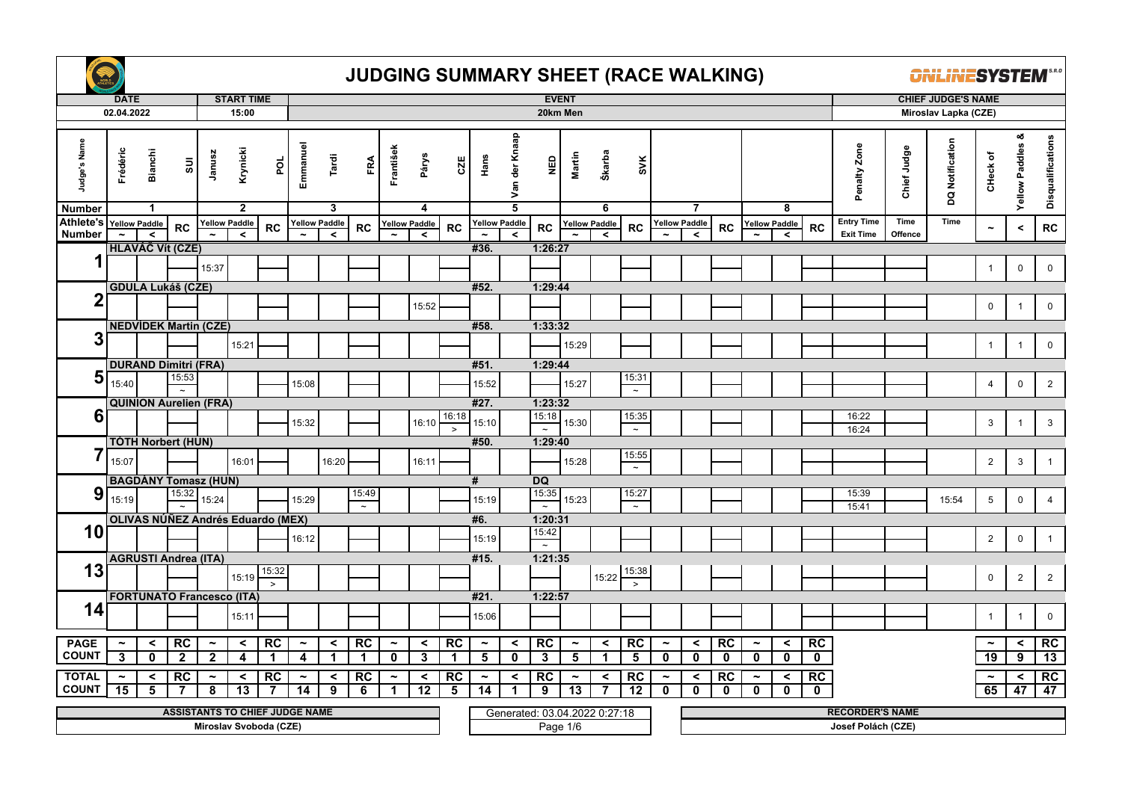

|                                          | <b>DATE</b>           |                |                                          |                       | <b>START TIME</b>               |                        |                       |                                 |           |                       |                               |               |                         |                |                               | <b>EVENT</b>          |                                 |                                   |                       |                                 |              |                       |                                 |             |                        |             | <b>CHIEF JUDGE'S NAME</b> |                       |                            |                   |
|------------------------------------------|-----------------------|----------------|------------------------------------------|-----------------------|---------------------------------|------------------------|-----------------------|---------------------------------|-----------|-----------------------|-------------------------------|---------------|-------------------------|----------------|-------------------------------|-----------------------|---------------------------------|-----------------------------------|-----------------------|---------------------------------|--------------|-----------------------|---------------------------------|-------------|------------------------|-------------|---------------------------|-----------------------|----------------------------|-------------------|
|                                          | 02.04.2022            |                |                                          |                       | 15:00                           |                        |                       |                                 |           |                       |                               |               |                         |                |                               | 20km Men              |                                 |                                   |                       |                                 |              |                       |                                 |             |                        |             | Miroslav Lapka (CZE)      |                       |                            |                   |
| Judge's Name                             | Frédéric              | <b>Bianchi</b> | $\Xi$                                    | Janusz                | Krynicki                        | pol                    | Emmanuel              | Tardi                           | FRA       | František             | Párys                         | CZE           | Hans                    | Van der Knaap  | NED                           | Martin                | Škarba                          | SVK                               |                       |                                 |              |                       |                                 |             | Penalty Zone           | Chief Judge | DQ Notification           | CHeck of              | ೲ<br><b>Yellow Paddles</b> | Disqualifications |
| <b>Number</b><br>Athlete's Yellow Paddle |                       | $\mathbf{1}$   |                                          |                       | $\overline{2}$                  |                        |                       | 3                               |           |                       | 4                             |               |                         | $\overline{5}$ |                               |                       | 6                               |                                   |                       | $\overline{7}$                  |              |                       | 8                               |             | <b>Entry Time</b>      | Time        | Time                      |                       |                            |                   |
| <b>Number</b>                            |                       | $\prec$        | <b>RC</b>                                |                       | <b>Yellow Paddle</b><br>$\prec$ | <b>RC</b>              |                       | <b>Yellow Paddle</b><br>$\prec$ | RC        |                       | <b>Yellow Paddle</b><br>$\,<$ | RC            | <b>Yellow Paddle</b>    | $\prec$        | RC                            |                       | <b>Yellow Paddle</b><br>$\prec$ | <b>RC</b>                         |                       | <b>Yellow Paddle</b><br>$\prec$ | RC           |                       | <b>Yellow Paddle</b><br>$\prec$ | <b>RC</b>   | <b>Exit Time</b>       | Offence     |                           | $\tilde{\phantom{a}}$ | $\,<$                      | ${\sf RC}$        |
|                                          |                       |                | <b>HLAVÁČ Vít (CZE)</b>                  |                       |                                 |                        |                       |                                 |           |                       |                               |               | #36.                    |                | 1:26:27                       |                       |                                 |                                   |                       |                                 |              |                       |                                 |             |                        |             |                           |                       |                            |                   |
| 1                                        |                       |                |                                          | 15:37                 |                                 |                        |                       |                                 |           |                       |                               |               |                         |                |                               |                       |                                 |                                   |                       |                                 |              |                       |                                 |             |                        |             |                           | $\mathbf{1}$          | $\pmb{0}$                  | $\mathbf 0$       |
|                                          |                       |                |                                          |                       |                                 |                        |                       |                                 |           |                       |                               |               |                         |                |                               |                       |                                 |                                   |                       |                                 |              |                       |                                 |             |                        |             |                           |                       |                            |                   |
|                                          |                       |                | <b>GDULA Lukáš (CZE)</b>                 |                       |                                 |                        |                       |                                 |           |                       |                               |               | #52.                    |                | 1:29:44                       |                       |                                 |                                   |                       |                                 |              |                       |                                 |             |                        |             |                           |                       |                            |                   |
| 2                                        |                       |                |                                          |                       |                                 |                        |                       |                                 |           |                       | 15:52                         |               |                         |                |                               |                       |                                 |                                   |                       |                                 |              |                       |                                 |             |                        |             |                           | $\mathsf{O}$          | $\overline{1}$             | $\mathbf 0$       |
|                                          |                       |                | <b>NEDVÍDEK Martin (CZE)</b>             |                       |                                 |                        |                       |                                 |           |                       |                               |               | #58.                    |                | 1:33:32                       |                       |                                 |                                   |                       |                                 |              |                       |                                 |             |                        |             |                           |                       |                            |                   |
| 3                                        |                       |                |                                          |                       |                                 |                        |                       |                                 |           |                       |                               |               |                         |                |                               |                       |                                 |                                   |                       |                                 |              |                       |                                 |             |                        |             |                           |                       |                            |                   |
|                                          |                       |                |                                          |                       | 15:21                           |                        |                       |                                 |           |                       |                               |               |                         |                |                               | 15:29                 |                                 |                                   |                       |                                 |              |                       |                                 |             |                        |             |                           | $\mathbf{1}$          | $\overline{1}$             | $\mathsf 0$       |
|                                          |                       |                | <b>DURAND Dimitri (FRA)</b>              |                       |                                 |                        |                       |                                 |           |                       |                               |               | #51.                    |                | 1:29:44                       |                       |                                 |                                   |                       |                                 |              |                       |                                 |             |                        |             |                           |                       |                            |                   |
| 5                                        | 15:40                 |                | 15:53                                    |                       |                                 |                        | 15:08                 |                                 |           |                       |                               |               | 15:52                   |                |                               | 15:27                 |                                 | 15:31<br>$\overline{\phantom{a}}$ |                       |                                 |              |                       |                                 |             |                        |             |                           | $\overline{4}$        | $\pmb{0}$                  | $\overline{2}$    |
|                                          |                       |                | $\sim$<br><b>QUINION Aurelien (FRA)</b>  |                       |                                 |                        |                       |                                 |           |                       |                               |               | #27.                    |                | 1:23:32                       |                       |                                 |                                   |                       |                                 |              |                       |                                 |             |                        |             |                           |                       |                            |                   |
| 6                                        |                       |                |                                          |                       |                                 |                        |                       |                                 |           |                       |                               | 16:18         |                         |                | 15:18                         |                       |                                 | 15:35                             |                       |                                 |              |                       |                                 |             | 16:22                  |             |                           |                       |                            |                   |
|                                          |                       |                |                                          |                       |                                 |                        | 15:32                 |                                 |           |                       | 16:10                         | $\rightarrow$ | 15:10                   |                | $\overline{z}$                | 15:30                 |                                 | $\sim$                            |                       |                                 |              |                       |                                 |             | 16:24                  |             |                           | 3                     | $\overline{1}$             | $\mathbf{3}$      |
|                                          |                       |                | <b>TÓTH Norbert (HUN)</b>                |                       |                                 |                        |                       |                                 |           |                       |                               |               | #50.                    |                | 1:29:40                       |                       |                                 |                                   |                       |                                 |              |                       |                                 |             |                        |             |                           |                       |                            |                   |
|                                          | 15:07                 |                |                                          |                       | 16:01                           |                        |                       | 16:20                           |           |                       | 16:11                         |               |                         |                |                               | 15:28                 |                                 | 15:55                             |                       |                                 |              |                       |                                 |             |                        |             |                           | $\overline{2}$        | $\mathbf{3}$               | $\mathbf{1}$      |
|                                          |                       |                | <b>BAGDÁNY Tomasz (HUN)</b>              |                       |                                 |                        |                       |                                 |           |                       |                               |               |                         |                | <b>DQ</b>                     |                       |                                 | $\sim$                            |                       |                                 |              |                       |                                 |             |                        |             |                           |                       |                            |                   |
| 9                                        |                       |                | 15:32                                    |                       |                                 |                        |                       |                                 | 15:49     |                       |                               |               | #                       |                |                               |                       |                                 | 15:27                             |                       |                                 |              |                       |                                 |             | 15:39                  |             |                           |                       |                            |                   |
|                                          | 15:19                 |                |                                          | 15:24                 |                                 |                        | 15:29                 |                                 | $\sim$    |                       |                               |               | 15:19                   |                | $\frac{15:35}{2}$             | 15:23                 |                                 | $\sim$                            |                       |                                 |              |                       |                                 |             | 15:41                  |             | 15:54                     | 5                     | $\mathbf 0$                | $\overline{4}$    |
|                                          |                       |                | <b>OLIVAS NÚÑEZ Andrés Eduardo (MEX)</b> |                       |                                 |                        |                       |                                 |           |                       |                               |               | #6.                     |                | 1:20:31                       |                       |                                 |                                   |                       |                                 |              |                       |                                 |             |                        |             |                           |                       |                            |                   |
| 10                                       |                       |                |                                          |                       |                                 |                        | 16:12                 |                                 |           |                       |                               |               | 15:19                   |                | 15:42                         |                       |                                 |                                   |                       |                                 |              |                       |                                 |             |                        |             |                           | $\overline{2}$        | $\mathbf 0$                | $\overline{1}$    |
|                                          |                       |                |                                          |                       |                                 |                        |                       |                                 |           |                       |                               |               |                         |                | $\sim$                        |                       |                                 |                                   |                       |                                 |              |                       |                                 |             |                        |             |                           |                       |                            |                   |
| 13                                       |                       |                | <b>AGRUSTI Andrea (ITA)</b>              |                       |                                 |                        |                       |                                 |           |                       |                               |               | #15.                    |                | 1:21:35                       |                       |                                 |                                   |                       |                                 |              |                       |                                 |             |                        |             |                           |                       |                            |                   |
|                                          |                       |                |                                          |                       | 15:19                           | 15:32<br>$\geq$        |                       |                                 |           |                       |                               |               |                         |                |                               |                       | 15:22                           | 15:38<br>$\geq$                   |                       |                                 |              |                       |                                 |             |                        |             |                           | $\mathbf 0$           | $\overline{2}$             | $\overline{2}$    |
|                                          |                       |                | <b>FORTUNATO Francesco (ITA)</b>         |                       |                                 |                        |                       |                                 |           |                       |                               |               | #21.                    |                | 1:22:57                       |                       |                                 |                                   |                       |                                 |              |                       |                                 |             |                        |             |                           |                       |                            |                   |
| 14                                       |                       |                |                                          |                       | 15:11                           |                        |                       |                                 |           |                       |                               |               | 15:06                   |                |                               |                       |                                 |                                   |                       |                                 |              |                       |                                 |             |                        |             |                           | $\overline{1}$        | $\overline{1}$             | $\mathbf 0$       |
|                                          |                       |                |                                          |                       |                                 |                        |                       |                                 |           |                       |                               |               |                         |                |                               |                       |                                 |                                   |                       |                                 |              |                       |                                 |             |                        |             |                           |                       |                            |                   |
| <b>PAGE</b>                              | $\tilde{\phantom{a}}$ | $\prec$        | RC                                       | $\tilde{\phantom{a}}$ | $\prec$                         | RC                     | $\tilde{\phantom{a}}$ | $\prec$                         | <b>RC</b> | $\tilde{\phantom{a}}$ | $\prec$                       | RC            | $\tilde{\phantom{a}}$   | $\prec$        | RC                            | $\tilde{\phantom{a}}$ | $\checkmark$                    | RC                                | $\tilde{\phantom{a}}$ | $\,<$                           | RC           | $\tilde{\phantom{a}}$ | $\prec$                         | RC          |                        |             |                           | $\tilde{\phantom{a}}$ | $\prec$                    | RC                |
| <b>COUNT</b>                             | 3                     | $\mathbf{0}$   | $\overline{2}$                           | $\mathbf{2}$          | $\overline{\mathbf{4}}$         | $\mathbf 1$            | 4                     |                                 | -1        | $\mathbf 0$           | 3                             | $\mathbf 1$   | $\overline{\mathbf{5}}$ | $\mathbf 0$    | 3                             | 5                     | 1                               | 5                                 | $\mathbf 0$           | $\mathbf 0$                     | $\mathbf{0}$ | $\mathbf 0$           | $\mathbf 0$                     | $\mathbf 0$ |                        |             |                           | $\overline{19}$       | 9                          | 13                |
| <b>TOTAL</b>                             | $\tilde{\phantom{a}}$ | $\prec$        | <b>RC</b>                                | $\tilde{\phantom{a}}$ | $\prec$                         | RC                     | $\tilde{\phantom{a}}$ | $\prec$                         | <b>RC</b> | $\tilde{\phantom{a}}$ | $\prec$                       | RC            | $\tilde{\phantom{a}}$   | $\prec$        | <b>RC</b>                     | $\tilde{\phantom{a}}$ | ≺                               | <b>RC</b>                         | $\tilde{\phantom{a}}$ | $\prec$                         | RC           | $\tilde{\phantom{a}}$ | $\prec$                         | RC          |                        |             |                           | $\tilde{\phantom{a}}$ | $\prec$                    | RC                |
| <b>COUNT</b>                             | 15                    | 5              |                                          | 8                     | 13                              | 7                      | $\overline{14}$       | 9                               | 6         | $\mathbf 1$           | 12                            | 5             | 14                      |                | 9                             | 13                    |                                 | 12                                | $\mathbf 0$           | $\mathbf 0$                     | $\mathbf{0}$ | $\mathbf 0$           | $\mathbf 0$                     | $\mathbf 0$ |                        |             |                           | 65                    | 47                         | 47                |
|                                          |                       |                |                                          |                       |                                 |                        |                       |                                 |           |                       |                               |               |                         |                |                               |                       |                                 |                                   |                       |                                 |              |                       |                                 |             |                        |             |                           |                       |                            |                   |
|                                          |                       |                | <b>ASSISTANTS TO CHIEF JUDGE NAME</b>    |                       |                                 |                        |                       |                                 |           |                       |                               |               |                         |                | Generated: 03.04.2022 0.27:18 |                       |                                 |                                   |                       |                                 |              |                       |                                 |             | <b>RECORDER'S NAME</b> |             |                           |                       |                            |                   |
|                                          |                       |                |                                          |                       |                                 | Miroslav Svoboda (CZE) |                       |                                 |           |                       |                               |               |                         |                |                               | Page 1/6              |                                 |                                   |                       |                                 |              |                       |                                 |             | Josef Polách (CZE)     |             |                           |                       |                            |                   |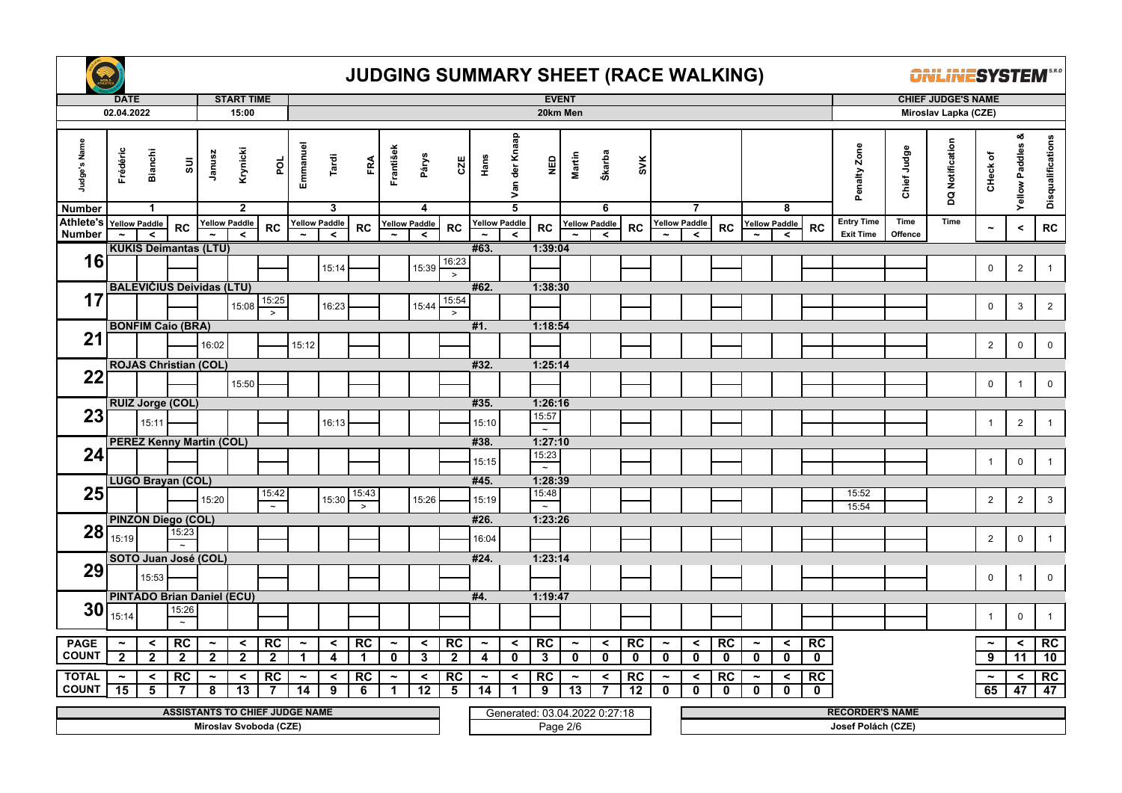

|                                          | <b>DATE</b>           |                |                                            |                       | <b>START TIME</b>               |                                                                 |                       |                                 |             |                       |                                 |                 |                       |                | <b>EVENT</b>                              |                       |                                 |             |                       |                                 |             |                       |                                 |             |                                              |             | <b>CHIEF JUDGE'S NAME</b> |                       |                            |                   |
|------------------------------------------|-----------------------|----------------|--------------------------------------------|-----------------------|---------------------------------|-----------------------------------------------------------------|-----------------------|---------------------------------|-------------|-----------------------|---------------------------------|-----------------|-----------------------|----------------|-------------------------------------------|-----------------------|---------------------------------|-------------|-----------------------|---------------------------------|-------------|-----------------------|---------------------------------|-------------|----------------------------------------------|-------------|---------------------------|-----------------------|----------------------------|-------------------|
|                                          | 02.04.2022            |                |                                            |                       | 15:00                           |                                                                 |                       |                                 |             |                       |                                 |                 |                       |                | 20km Men                                  |                       |                                 |             |                       |                                 |             |                       |                                 |             |                                              |             | Miroslav Lapka (CZE)      |                       |                            |                   |
| Judge's Name                             | Frédéric              | <b>Bianchi</b> | $\overline{\textrm{su}}$                   | Janusz                | Krynicki                        | por                                                             | Emmanuel              | Tardi                           | FRA         | František             | Párys                           | CZE             | Hans                  | Van der Knaap  | 圖                                         | Martin                | Škarba                          | <b>SVK</b>  |                       |                                 |             |                       |                                 |             | Penalty Zone                                 | Chief Judge | DQ Notification           | CHeck of              | ೲ<br><b>Yellow Paddles</b> | Disqualifications |
| <b>Number</b>                            |                       | $\mathbf{1}$   |                                            |                       | $\mathbf{2}$                    |                                                                 |                       | 3                               |             |                       | 4                               |                 |                       | $\overline{5}$ |                                           |                       | 6                               |             |                       | $\overline{7}$                  |             |                       | 8                               |             |                                              | Time        | Time                      |                       |                            |                   |
| Athlete's Yellow Paddle<br><b>Number</b> |                       | $\prec$        | <b>RC</b>                                  |                       | <b>Yellow Paddle</b><br>$\prec$ | <b>RC</b>                                                       |                       | <b>Yellow Paddle</b><br>$\prec$ | RC          |                       | <b>Yellow Paddle</b><br>$\prec$ | RC              | <b>Yellow Paddle</b>  | $\prec$        | <b>RC</b>                                 |                       | <b>Yellow Paddle</b><br>$\prec$ | RC          |                       | <b>Yellow Paddle</b><br>$\prec$ | <b>RC</b>   |                       | <b>Yellow Paddle</b><br>$\prec$ | <b>RC</b>   | <b>Entry Time</b><br><b>Exit Time</b>        | Offence     |                           | $\tilde{\phantom{a}}$ | $\,<\,$                    | ${\sf RC}$        |
|                                          |                       |                | <b>KUKIS Deimantas (LTU)</b>               |                       |                                 |                                                                 |                       |                                 |             |                       |                                 |                 | #63.                  |                | 1:39:04                                   |                       |                                 |             |                       |                                 |             |                       |                                 |             |                                              |             |                           |                       |                            |                   |
| 16                                       |                       |                |                                            |                       |                                 |                                                                 |                       | 15:14                           |             |                       | 15:39                           | 16:23<br>$\geq$ |                       |                |                                           |                       |                                 |             |                       |                                 |             |                       |                                 |             |                                              |             |                           | $\mathbf 0$           | $\sqrt{2}$                 | $\mathbf{1}$      |
|                                          |                       |                | <b>BALEVICIUS Deividas (LTU)</b>           |                       |                                 |                                                                 |                       |                                 |             |                       |                                 |                 | #62.                  |                | 1:38:30                                   |                       |                                 |             |                       |                                 |             |                       |                                 |             |                                              |             |                           |                       |                            |                   |
| 17                                       |                       |                |                                            |                       |                                 | 15:25                                                           |                       |                                 |             |                       |                                 | 15:54           |                       |                |                                           |                       |                                 |             |                       |                                 |             |                       |                                 |             |                                              |             |                           |                       |                            |                   |
|                                          |                       |                |                                            |                       | 15:08                           | $\geq$                                                          |                       | 16:23                           |             |                       | 15:44                           | $\geq$          |                       |                |                                           |                       |                                 |             |                       |                                 |             |                       |                                 |             |                                              |             |                           | $\mathbf 0$           | 3                          | $\overline{2}$    |
|                                          |                       |                | <b>BONFIM Caio (BRA)</b>                   |                       |                                 |                                                                 |                       |                                 |             |                       |                                 |                 | #1.                   |                | 1:18:54                                   |                       |                                 |             |                       |                                 |             |                       |                                 |             |                                              |             |                           |                       |                            |                   |
| 21                                       |                       |                |                                            | 16:02                 |                                 |                                                                 | 15:12                 |                                 |             |                       |                                 |                 |                       |                |                                           |                       |                                 |             |                       |                                 |             |                       |                                 |             |                                              |             |                           | $\overline{2}$        | $\pmb{0}$                  | $\mathbf 0$       |
|                                          |                       |                | <b>ROJAS Christian (COL)</b>               |                       |                                 |                                                                 |                       |                                 |             |                       |                                 |                 | #32.                  |                | 1:25:14                                   |                       |                                 |             |                       |                                 |             |                       |                                 |             |                                              |             |                           |                       |                            |                   |
| 22                                       |                       |                |                                            |                       | 15:50                           |                                                                 |                       |                                 |             |                       |                                 |                 |                       |                |                                           |                       |                                 |             |                       |                                 |             |                       |                                 |             |                                              |             |                           | 0                     | $\overline{1}$             | 0                 |
|                                          |                       |                | RUIZ Jorge (COL)                           |                       |                                 |                                                                 |                       |                                 |             |                       |                                 |                 | #35.                  |                | 1:26:16                                   |                       |                                 |             |                       |                                 |             |                       |                                 |             |                                              |             |                           |                       |                            |                   |
| 23                                       |                       | 15:11          |                                            |                       |                                 |                                                                 |                       | 16:13                           |             |                       |                                 |                 | 15:10                 |                | 15:57<br>$\sim$                           |                       |                                 |             |                       |                                 |             |                       |                                 |             |                                              |             |                           | $\overline{1}$        | $\overline{2}$             | $\mathbf{1}$      |
|                                          |                       |                | <b>PEREZ Kenny Martin (COL)</b>            |                       |                                 |                                                                 |                       |                                 |             |                       |                                 |                 | #38.                  |                | 1:27:10                                   |                       |                                 |             |                       |                                 |             |                       |                                 |             |                                              |             |                           |                       |                            |                   |
| 24                                       |                       |                |                                            |                       |                                 |                                                                 |                       |                                 |             |                       |                                 |                 | 15:15                 |                | 15:23<br>$\cdot$                          |                       |                                 |             |                       |                                 |             |                       |                                 |             |                                              |             |                           | $\mathbf{1}$          | $\mathbf 0$                | $\mathbf{1}$      |
|                                          |                       |                | LUGO Brayan (COL)                          |                       |                                 |                                                                 |                       |                                 |             |                       |                                 |                 | #45.                  |                | 1:28:39                                   |                       |                                 |             |                       |                                 |             |                       |                                 |             |                                              |             |                           |                       |                            |                   |
| 25                                       |                       |                |                                            | 15:20                 |                                 | 15:42                                                           |                       | 15:30                           | 15:43       |                       | 15:26                           |                 | 15:19                 |                | 15:48                                     |                       |                                 |             |                       |                                 |             |                       |                                 |             | 15:52                                        |             |                           | $\overline{2}$        | $\overline{2}$             | $\mathbf{3}$      |
|                                          |                       |                |                                            |                       |                                 | $\sim$                                                          |                       |                                 | $\geq$      |                       |                                 |                 |                       |                | $\cdot$                                   |                       |                                 |             |                       |                                 |             |                       |                                 |             | 15:54                                        |             |                           |                       |                            |                   |
| 28                                       |                       |                | <b>PINZON Diego (COL)</b><br>15:23         |                       |                                 |                                                                 |                       |                                 |             |                       |                                 |                 | #26.                  |                | 1:23:26                                   |                       |                                 |             |                       |                                 |             |                       |                                 |             |                                              |             |                           |                       |                            |                   |
|                                          | 15:19                 |                |                                            |                       |                                 |                                                                 |                       |                                 |             |                       |                                 |                 | 16:04                 |                |                                           |                       |                                 |             |                       |                                 |             |                       |                                 |             |                                              |             |                           | $\overline{2}$        | $\pmb{0}$                  | $\mathbf{1}$      |
|                                          |                       |                | SOTO Juan José (COL)                       |                       |                                 |                                                                 |                       |                                 |             |                       |                                 |                 | #24.                  |                | 1:23:14                                   |                       |                                 |             |                       |                                 |             |                       |                                 |             |                                              |             |                           |                       |                            |                   |
| 29                                       |                       | 15:53          |                                            |                       |                                 |                                                                 |                       |                                 |             |                       |                                 |                 |                       |                |                                           |                       |                                 |             |                       |                                 |             |                       |                                 |             |                                              |             |                           | $\mathsf{O}$          | $\overline{1}$             | $\mathbf 0$       |
|                                          |                       |                |                                            |                       |                                 |                                                                 |                       |                                 |             |                       |                                 |                 |                       |                |                                           |                       |                                 |             |                       |                                 |             |                       |                                 |             |                                              |             |                           |                       |                            |                   |
| 30                                       |                       |                | <b>PINTADO Brian Daniel (ECU)</b><br>15:26 |                       |                                 |                                                                 |                       |                                 |             |                       |                                 |                 | #4.                   |                | 1:19:47                                   |                       |                                 |             |                       |                                 |             |                       |                                 |             |                                              |             |                           |                       |                            |                   |
|                                          | 15:14                 |                |                                            |                       |                                 |                                                                 |                       |                                 |             |                       |                                 |                 |                       |                |                                           |                       |                                 |             |                       |                                 |             |                       |                                 |             |                                              |             |                           | $\overline{1}$        | $\mathbf 0$                | $\mathbf{1}$      |
| <b>PAGE</b>                              | $\tilde{\phantom{a}}$ | $\prec$        | RC                                         | $\tilde{\phantom{a}}$ | $\prec$                         | RC                                                              | $\tilde{\phantom{m}}$ | $\prec$                         | <b>RC</b>   | $\tilde{\phantom{a}}$ | $\prec$                         | RC              | $\tilde{\phantom{m}}$ | $\prec$        | RC                                        | $\tilde{\phantom{a}}$ | $\overline{\phantom{0}}$        | RC          | $\tilde{\phantom{a}}$ | $\,<$                           | RC          | $\tilde{\phantom{a}}$ | $\prec$                         | RC          |                                              |             |                           | $\tilde{\phantom{a}}$ | $\prec$                    | RC                |
| <b>COUNT</b>                             | $\mathbf{2}$          | $\overline{2}$ | $\boldsymbol{2}$                           | $\overline{2}$        | $\overline{2}$                  | $\mathbf{2}$                                                    | -1                    | 4                               | $\mathbf 1$ | $\mathbf 0$           | 3                               | $\mathbf{2}$    | 4                     | $\mathbf 0$    | 3                                         | $\mathbf 0$           | $\mathbf 0$                     | $\mathbf 0$ | $\mathbf 0$           | $\mathbf 0$                     | $\mathbf 0$ | $\mathbf 0$           | $\mathbf 0$                     | $\mathbf 0$ |                                              |             |                           | $\overline{9}$        | 11                         | 10                |
| <b>TOTAL</b>                             | $\tilde{\phantom{a}}$ | $\prec$        | RC                                         | $\tilde{\phantom{a}}$ | $\prec$                         | RC                                                              | $\tilde{\phantom{a}}$ | $\prec$                         | <b>RC</b>   | $\tilde{\phantom{a}}$ | $\prec$                         | RC              | $\tilde{\phantom{a}}$ | $\prec$        | RC                                        | $\tilde{\phantom{a}}$ | ≺                               | <b>RC</b>   | $\tilde{\phantom{a}}$ | $\prec$                         | RC          | $\tilde{\phantom{a}}$ | $\prec$                         | RC          |                                              |             |                           | $\tilde{\phantom{a}}$ | $\prec$                    | RC                |
| <b>COUNT</b>                             | 15                    | 5              |                                            | 8                     | 13                              | 7                                                               | $\overline{14}$       | 9                               | 6           | 1                     | 12                              | 5               | 14                    |                | 9                                         | 13                    |                                 | 12          | $\mathbf{0}$          | $\mathbf{0}$                    | $\mathbf 0$ | $\mathbf 0$           | $\mathbf{0}$                    | $\mathbf 0$ |                                              |             |                           | 65                    | 47                         | 47                |
|                                          |                       |                |                                            |                       |                                 |                                                                 |                       |                                 |             |                       |                                 |                 |                       |                |                                           |                       |                                 |             |                       |                                 |             |                       |                                 |             |                                              |             |                           |                       |                            |                   |
|                                          |                       |                |                                            |                       |                                 | <b>ASSISTANTS TO CHIEF JUDGE NAME</b><br>Miroslav Svoboda (CZE) |                       |                                 |             |                       |                                 |                 |                       |                | Generated: 03.04.2022 0.27:18<br>Page 2/6 |                       |                                 |             |                       |                                 |             |                       |                                 |             | <b>RECORDER'S NAME</b><br>Josef Polách (CZE) |             |                           |                       |                            |                   |
|                                          |                       |                |                                            |                       |                                 |                                                                 |                       |                                 |             |                       |                                 |                 |                       |                |                                           |                       |                                 |             |                       |                                 |             |                       |                                 |             |                                              |             |                           |                       |                            |                   |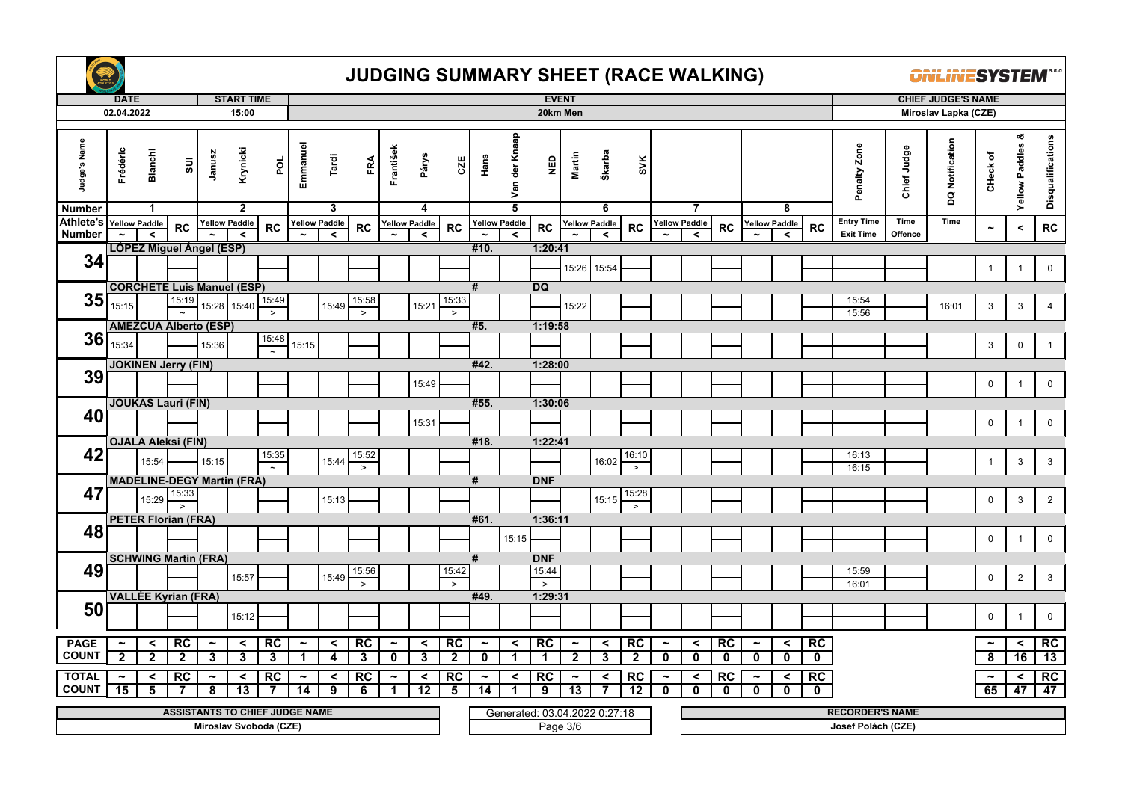

|                               | <b>DATE</b>                           |                                |                                       |                            | <b>START TIME</b>          |                         |                                      |                      |                    |                                      |                      |                    |                                      |                                 | <b>EVENT</b>       |                                       |                               |                                 |                                       |                         |                    |                                      |                         |                   |                        |             | <b>CHIEF JUDGE'S NAME</b> |                             |                            |                   |
|-------------------------------|---------------------------------------|--------------------------------|---------------------------------------|----------------------------|----------------------------|-------------------------|--------------------------------------|----------------------|--------------------|--------------------------------------|----------------------|--------------------|--------------------------------------|---------------------------------|--------------------|---------------------------------------|-------------------------------|---------------------------------|---------------------------------------|-------------------------|--------------------|--------------------------------------|-------------------------|-------------------|------------------------|-------------|---------------------------|-----------------------------|----------------------------|-------------------|
|                               | 02.04.2022                            |                                |                                       |                            | 15:00                      |                         |                                      |                      |                    |                                      |                      |                    |                                      |                                 | 20km Men           |                                       |                               |                                 |                                       |                         |                    |                                      |                         |                   |                        |             | Miroslav Lapka (CZE)      |                             |                            |                   |
| Judge's Name<br><b>Number</b> | Frédéric                              | <b>Bianchi</b><br>$\mathbf{1}$ | $\overline{\textrm{su}}$              | Janusz                     | Krynicki<br>$\mathbf{2}$   | por                     | Emmanuel                             | Tardi<br>3           | FRA                | František                            | Párys<br>4           | CZE                | Hans                                 | Van der Knaap<br>$\overline{5}$ | <b>Q3N</b>         | Martin                                | Škarba<br>6                   | SVK                             |                                       | $\overline{7}$          |                    |                                      | 8                       |                   | Penalty Zone           | Chief Judge | DQ Notification           | CHeck of                    | య<br><b>Yellow Paddles</b> | Disqualifications |
| <b>Athlete's</b>              | <b>Yellow Paddle</b>                  |                                |                                       |                            | <b>Yellow Paddle</b>       |                         |                                      | <b>Yellow Paddle</b> |                    |                                      | <b>Yellow Paddle</b> |                    | <b>Yellow Paddle</b>                 |                                 |                    |                                       | <b>Yellow Paddle</b>          |                                 |                                       | <b>Yellow Paddle</b>    |                    |                                      | <b>Yellow Paddle</b>    |                   | <b>Entry Time</b>      | Time        | Time                      |                             |                            |                   |
| <b>Number</b>                 |                                       | $\hat{}$                       | <b>RC</b>                             |                            | $\prec$                    | <b>RC</b>               |                                      | $\prec$              | RC                 |                                      | $\prec$              | RC                 |                                      | $\prec$                         | <b>RC</b>          |                                       | $\prec$                       | <b>RC</b>                       |                                       | $\prec$                 | RC                 |                                      | $\prec$                 | <b>RC</b>         | <b>Exit Time</b>       | Offence     |                           | $\tilde{\phantom{a}}$       | $\,<$                      | RC                |
|                               |                                       |                                | <b>LOPEZ Miguel Angel (ESP)</b>       |                            |                            |                         |                                      |                      |                    |                                      |                      |                    | #10.                                 |                                 | 1:20:41            |                                       |                               |                                 |                                       |                         |                    |                                      |                         |                   |                        |             |                           |                             |                            |                   |
| 34                            |                                       |                                |                                       |                            |                            |                         |                                      |                      |                    |                                      |                      |                    |                                      |                                 |                    |                                       | 15:26 15:54                   |                                 |                                       |                         |                    |                                      |                         |                   |                        |             |                           | $\mathbf{1}$                | $\overline{1}$             | $\mathbf 0$       |
|                               |                                       |                                | <b>CORCHETE Luis Manuel (ESP)</b>     |                            |                            |                         |                                      |                      |                    |                                      |                      |                    | #                                    |                                 | <b>DQ</b>          |                                       |                               |                                 |                                       |                         |                    |                                      |                         |                   |                        |             |                           |                             |                            |                   |
| 35                            |                                       |                                | 15:19                                 |                            |                            | 15:49                   |                                      |                      | 15:58              |                                      |                      | 15:33              |                                      |                                 |                    |                                       |                               |                                 |                                       |                         |                    |                                      |                         |                   | 15:54                  |             |                           |                             |                            |                   |
|                               | 15:15                                 |                                |                                       | 15:28                      | 15:40                      | $\geq$                  |                                      | 15:49                | $\geq$             |                                      | 15:21                | $\,>$              |                                      |                                 |                    | 15:22                                 |                               |                                 |                                       |                         |                    |                                      |                         |                   | 15:56                  |             | 16:01                     | 3                           | $\mathbf{3}$               | $\overline{4}$    |
|                               |                                       |                                | <b>AMEZCUA Alberto (ESP)</b>          |                            |                            |                         |                                      |                      |                    |                                      |                      |                    | #5.                                  |                                 | 1:19:58            |                                       |                               |                                 |                                       |                         |                    |                                      |                         |                   |                        |             |                           |                             |                            |                   |
| 36                            | 15:34                                 |                                |                                       | 15:36                      |                            | 15:48<br>$\overline{z}$ | 15:15                                |                      |                    |                                      |                      |                    |                                      |                                 |                    |                                       |                               |                                 |                                       |                         |                    |                                      |                         |                   |                        |             |                           | 3                           | $\mathsf 0$                | $\mathbf{1}$      |
|                               |                                       |                                | <b>JOKINEN Jerry (FIN)</b>            |                            |                            |                         |                                      |                      |                    |                                      |                      |                    | #42.                                 |                                 | 1:28:00            |                                       |                               |                                 |                                       |                         |                    |                                      |                         |                   |                        |             |                           |                             |                            |                   |
| 39                            |                                       |                                |                                       |                            |                            |                         |                                      |                      |                    |                                      | 15:49                |                    |                                      |                                 |                    |                                       |                               |                                 |                                       |                         |                    |                                      |                         |                   |                        |             |                           | 0                           | $\overline{1}$             | $\mathbf 0$       |
|                               |                                       |                                |                                       |                            |                            |                         |                                      |                      |                    |                                      |                      |                    |                                      |                                 |                    |                                       |                               |                                 |                                       |                         |                    |                                      |                         |                   |                        |             |                           |                             |                            |                   |
|                               |                                       |                                | <b>JOUKAS Lauri (FIN)</b>             |                            |                            |                         |                                      |                      |                    |                                      |                      |                    | #55.                                 |                                 | 1:30:06            |                                       |                               |                                 |                                       |                         |                    |                                      |                         |                   |                        |             |                           |                             |                            |                   |
| 40                            |                                       |                                |                                       |                            |                            |                         |                                      |                      |                    |                                      | 15:31                |                    |                                      |                                 |                    |                                       |                               |                                 |                                       |                         |                    |                                      |                         |                   |                        |             |                           | $\mathsf{O}$                | $\overline{1}$             | $\mathbf 0$       |
|                               |                                       |                                | <b>OJALA Aleksi (FIN)</b>             |                            |                            |                         |                                      |                      |                    |                                      |                      |                    | #18.                                 |                                 | 1:22:41            |                                       |                               |                                 |                                       |                         |                    |                                      |                         |                   |                        |             |                           |                             |                            |                   |
| 42                            |                                       | 15:54                          |                                       | 15:15                      |                            | 15:35                   |                                      | 15:44                | 15:52              |                                      |                      |                    |                                      |                                 |                    |                                       | 16:02                         | 16:10                           |                                       |                         |                    |                                      |                         |                   | 16:13                  |             |                           | $\mathbf{1}$                | 3                          | $\mathbf{3}$      |
|                               |                                       |                                | <b>MADELINE-DEGY Martin (FRA)</b>     |                            |                            |                         |                                      |                      | $\geq$             |                                      |                      |                    | #                                    |                                 | <b>DNF</b>         |                                       |                               | $\, >$                          |                                       |                         |                    |                                      |                         |                   | 16:15                  |             |                           |                             |                            |                   |
| 47                            |                                       |                                | 15:33                                 |                            |                            |                         |                                      |                      |                    |                                      |                      |                    |                                      |                                 |                    |                                       |                               | 15:28                           |                                       |                         |                    |                                      |                         |                   |                        |             |                           |                             |                            |                   |
|                               |                                       | 15:29                          | $\rightarrow$                         |                            |                            |                         |                                      | 15:13                |                    |                                      |                      |                    |                                      |                                 |                    |                                       | 15:15                         | $\rightarrow$                   |                                       |                         |                    |                                      |                         |                   |                        |             |                           | $\mathsf{O}$                | $\mathbf{3}$               | $\overline{2}$    |
|                               |                                       |                                | <b>PETER Florian (FRA)</b>            |                            |                            |                         |                                      |                      |                    |                                      |                      |                    | #61.                                 |                                 | 1:36:11            |                                       |                               |                                 |                                       |                         |                    |                                      |                         |                   |                        |             |                           |                             |                            |                   |
| 48                            |                                       |                                |                                       |                            |                            |                         |                                      |                      |                    |                                      |                      |                    |                                      | 15:15                           |                    |                                       |                               |                                 |                                       |                         |                    |                                      |                         |                   |                        |             |                           | $\mathbf 0$                 | $\overline{1}$             | $\mathbf 0$       |
|                               |                                       |                                | <b>SCHWING Martin (FRA)</b>           |                            |                            |                         |                                      |                      |                    |                                      |                      |                    | #                                    |                                 | <b>DNF</b>         |                                       |                               |                                 |                                       |                         |                    |                                      |                         |                   |                        |             |                           |                             |                            |                   |
| 49                            |                                       |                                |                                       |                            |                            |                         |                                      |                      | 15:56              |                                      |                      | 15:42              |                                      |                                 | 15:44              |                                       |                               |                                 |                                       |                         |                    |                                      |                         |                   | 15:59                  |             |                           |                             |                            |                   |
|                               |                                       |                                |                                       |                            | 15:57                      |                         |                                      | 15:49                | $\geq$             |                                      |                      | $\,>\,$            |                                      |                                 | $\,>$              |                                       |                               |                                 |                                       |                         |                    |                                      |                         |                   | 16:01                  |             |                           | $\mathbf 0$                 | $\overline{2}$             | $\mathbf{3}$      |
|                               |                                       |                                | <b>VALLÉE Kyrian (FRA)</b>            |                            |                            |                         |                                      |                      |                    |                                      |                      |                    | #49.                                 |                                 | 1:29:31            |                                       |                               |                                 |                                       |                         |                    |                                      |                         |                   |                        |             |                           |                             |                            |                   |
| 50                            |                                       |                                |                                       |                            | 15:12                      |                         |                                      |                      |                    |                                      |                      |                    |                                      |                                 |                    |                                       |                               |                                 |                                       |                         |                    |                                      |                         |                   |                        |             |                           | $\mathbf 0$                 | $\overline{1}$             | $\mathsf 0$       |
|                               |                                       |                                |                                       |                            |                            |                         |                                      |                      |                    |                                      |                      |                    |                                      |                                 |                    |                                       |                               |                                 |                                       |                         |                    |                                      |                         |                   |                        |             |                           |                             |                            |                   |
| <b>PAGE</b><br><b>COUNT</b>   | $\tilde{\phantom{a}}$<br>$\mathbf{2}$ | $\prec$<br>$\mathbf{2}$        | RC<br>$\overline{\mathbf{2}}$         | $\tilde{\phantom{a}}$<br>3 | $\prec$<br>3               | <b>RC</b><br>3          | $\tilde{\phantom{a}}$<br>$\mathbf 1$ | $\prec$<br>4         | RC<br>$\mathbf{3}$ | $\tilde{\phantom{a}}$<br>$\mathbf 0$ | $\prec$<br>3         | RC<br>$\mathbf{2}$ | $\tilde{\phantom{m}}$<br>$\mathbf 0$ | $\prec$<br>$\mathbf{1}$         | RC<br>$\mathbf{1}$ | $\tilde{\phantom{a}}$<br>$\mathbf{2}$ | $\prec$<br>3                  | $\overline{RC}$<br>$\mathbf{2}$ | $\tilde{\phantom{a}}$<br>$\mathbf{0}$ | $\prec$<br>$\mathbf{0}$ | RC<br>$\mathbf 0$  | $\tilde{\phantom{a}}$<br>$\mathbf 0$ | $\prec$<br>$\mathbf 0$  | RC<br>$\mathbf 0$ |                        |             |                           | $\tilde{\phantom{a}}$<br>8  | $\prec$<br>16              | RC<br>13          |
|                               |                                       |                                |                                       |                            |                            |                         |                                      |                      |                    |                                      |                      |                    |                                      |                                 |                    |                                       |                               |                                 |                                       |                         |                    |                                      |                         |                   |                        |             |                           |                             |                            |                   |
| <b>TOTAL</b><br><b>COUNT</b>  | $\tilde{\phantom{a}}$<br>15           | $\prec$<br>5                   | RC<br>-7                              | $\tilde{\phantom{a}}$<br>8 | $\prec$<br>$\overline{13}$ | RC<br>7                 | $\tilde{\phantom{a}}$<br>14          | $\checkmark$<br>9    | RC<br>6            | $\tilde{\phantom{a}}$<br>$\mathbf 1$ | $\prec$<br>12        | RC<br>5            | $\tilde{\phantom{a}}$                | $\prec$<br>1                    | RC<br>9            | $\tilde{\phantom{a}}$<br>13           | $\checkmark$<br>7             | RC<br>$\overline{12}$           | $\tilde{\phantom{a}}$<br>$\mathbf{0}$ | $\prec$<br>$\mathbf{0}$ | RC<br>$\mathbf{0}$ | $\tilde{\phantom{a}}$<br>$\mathbf 0$ | $\prec$<br>$\mathbf{0}$ | RC<br>$\mathbf 0$ |                        |             |                           | $\tilde{\phantom{a}}$<br>65 | $\prec$<br>47              | RC<br>47          |
|                               |                                       |                                |                                       |                            |                            |                         |                                      |                      |                    |                                      |                      |                    | 14                                   |                                 |                    |                                       |                               |                                 |                                       |                         |                    |                                      |                         |                   |                        |             |                           |                             |                            |                   |
|                               |                                       |                                | <b>ASSISTANTS TO CHIEF JUDGE NAME</b> |                            |                            |                         |                                      |                      |                    |                                      |                      |                    |                                      |                                 |                    |                                       | Generated: 03.04.2022 0.27:18 |                                 |                                       |                         |                    |                                      |                         |                   | <b>RECORDER'S NAME</b> |             |                           |                             |                            |                   |
|                               |                                       |                                |                                       |                            |                            | Miroslav Svoboda (CZE)  |                                      |                      |                    |                                      |                      |                    |                                      |                                 |                    | Page 3/6                              |                               |                                 |                                       |                         |                    |                                      |                         |                   | Josef Polách (CZE)     |             |                           |                             |                            |                   |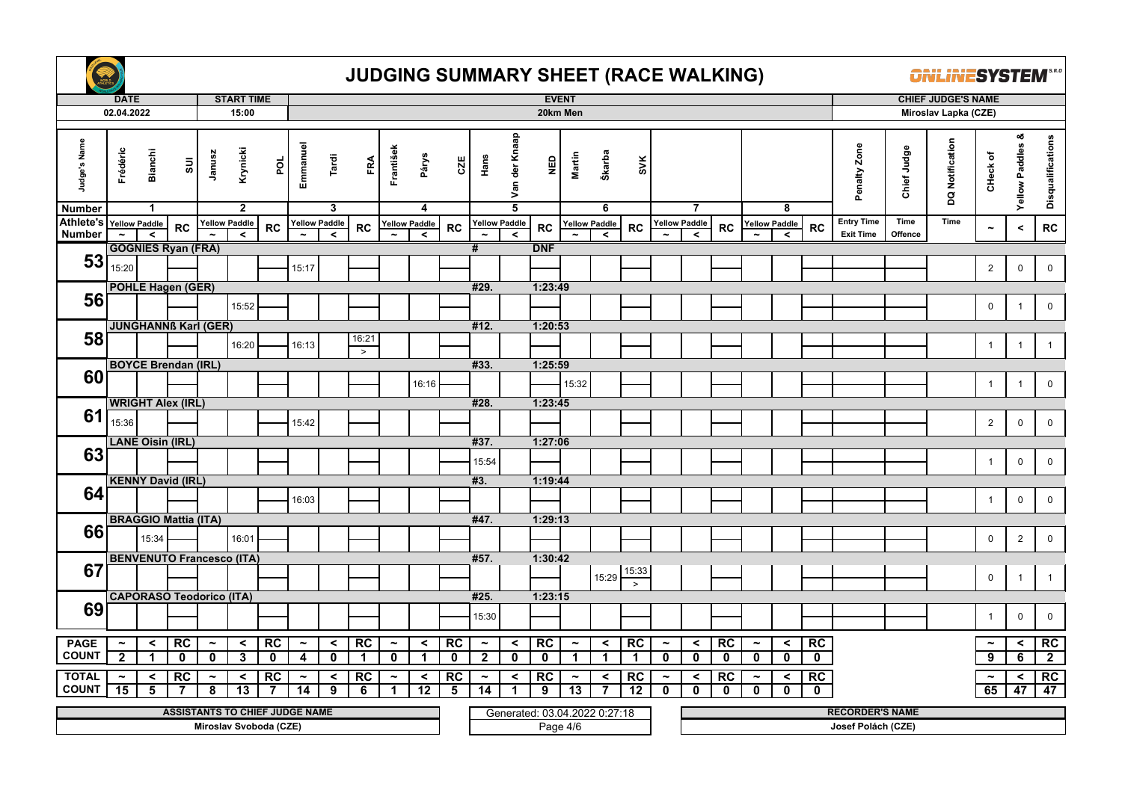

|                               | <b>DATE</b>           |                                |                                       |                       | <b>START TIME</b>        |                        |                       |                |                |                       |                                  |                         |                         |                                 | <b>EVENT</b>                  |                       |                      |                 |                       |                      |              |                       |                      |                         |                        |             | <b>CHIEF JUDGE'S NAME</b> |                           |                            |                   |
|-------------------------------|-----------------------|--------------------------------|---------------------------------------|-----------------------|--------------------------|------------------------|-----------------------|----------------|----------------|-----------------------|----------------------------------|-------------------------|-------------------------|---------------------------------|-------------------------------|-----------------------|----------------------|-----------------|-----------------------|----------------------|--------------|-----------------------|----------------------|-------------------------|------------------------|-------------|---------------------------|---------------------------|----------------------------|-------------------|
|                               | 02.04.2022            |                                |                                       |                       | 15:00                    |                        |                       |                |                |                       |                                  |                         |                         |                                 | 20km Men                      |                       |                      |                 |                       |                      |              |                       |                      |                         |                        |             | Miroslav Lapka (CZE)      |                           |                            |                   |
| Judge's Name<br><b>Number</b> | Frédéric              | <b>Bianchi</b><br>$\mathbf{1}$ | SUI                                   | Janusz                | Krynicki<br>$\mathbf{2}$ | pol                    | Emmanuel              | Tardi<br>3     | FRA            | František             | Párys<br>$\overline{\mathbf{4}}$ | CZE                     | Hans                    | Van der Knaap<br>$\overline{5}$ | )<br>이                        | Martin                | Škarba<br>6          | SVK             |                       | $\overline{7}$       |              |                       | 8                    |                         | Penalty Zone           | Chief Judge | DQ Notification           | CHeck of                  | య<br><b>Yellow Paddles</b> | Disqualifications |
| Athlete's Yellow Paddle       |                       |                                |                                       |                       | <b>Yellow Paddle</b>     |                        |                       | Yellow Paddle  |                |                       | <b>Yellow Paddle</b>             |                         | <b>Yellow Paddle</b>    |                                 |                               |                       | <b>Yellow Paddle</b> |                 |                       | <b>Yellow Paddle</b> |              |                       | <b>Yellow Paddle</b> |                         | <b>Entry Time</b>      | Time        | Time                      |                           |                            |                   |
| <b>Number</b>                 | $\tilde{}$            | $\prec$                        | RC                                    |                       | $\prec$                  | RC                     |                       | $\prec$        | <b>RC</b>      | $\tilde{\phantom{a}}$ | $\prec$                          | RC                      |                         | $\prec$                         | RC                            |                       | $\hat{~}$            | <b>RC</b>       | $\tilde{\phantom{a}}$ | $\prec$              | <b>RC</b>    |                       | $\prec$              | <b>RC</b>               | <b>Exit Time</b>       | Offence     |                           | $\widetilde{\phantom{m}}$ | $\,<$                      | ${\sf RC}$        |
|                               |                       |                                | <b>GOGNIES Ryan (FRA)</b>             |                       |                          |                        |                       |                |                |                       |                                  |                         | #                       |                                 | <b>DNF</b>                    |                       |                      |                 |                       |                      |              |                       |                      |                         |                        |             |                           |                           |                            |                   |
| 53                            | 15:20                 |                                |                                       |                       |                          |                        | 15:17                 |                |                |                       |                                  |                         |                         |                                 |                               |                       |                      |                 |                       |                      |              |                       |                      |                         |                        |             |                           | $\overline{2}$            | $\mathsf 0$                | $\mathsf 0$       |
|                               |                       |                                |                                       |                       |                          |                        |                       |                |                |                       |                                  |                         |                         |                                 |                               |                       |                      |                 |                       |                      |              |                       |                      |                         |                        |             |                           |                           |                            |                   |
| 56                            |                       |                                | POHLE Hagen (GER)                     |                       |                          |                        |                       |                |                |                       |                                  |                         | #29.                    |                                 | 1:23:49                       |                       |                      |                 |                       |                      |              |                       |                      |                         |                        |             |                           |                           |                            |                   |
|                               |                       |                                |                                       |                       | 15:52                    |                        |                       |                |                |                       |                                  |                         |                         |                                 |                               |                       |                      |                 |                       |                      |              |                       |                      |                         |                        |             |                           | $\mathbf 0$               | $\overline{1}$             | $\mathbf 0$       |
|                               |                       |                                | <b>JUNGHANNS Karl (GER)</b>           |                       |                          |                        |                       |                |                |                       |                                  |                         | #12.                    |                                 | 1:20:53                       |                       |                      |                 |                       |                      |              |                       |                      |                         |                        |             |                           |                           |                            |                   |
| 58                            |                       |                                |                                       |                       | 16:20                    |                        | 16:13                 |                | 16:21          |                       |                                  |                         |                         |                                 |                               |                       |                      |                 |                       |                      |              |                       |                      |                         |                        |             |                           | $\mathbf{1}$              | $\overline{1}$             | $\mathbf{1}$      |
|                               |                       |                                |                                       |                       |                          |                        |                       |                | $\geq$         |                       |                                  |                         |                         |                                 |                               |                       |                      |                 |                       |                      |              |                       |                      |                         |                        |             |                           |                           |                            |                   |
|                               |                       |                                | <b>BOYCE Brendan (IRL)</b>            |                       |                          |                        |                       |                |                |                       |                                  |                         | #33.                    |                                 | 1:25:59                       |                       |                      |                 |                       |                      |              |                       |                      |                         |                        |             |                           |                           |                            |                   |
| 60                            |                       |                                |                                       |                       |                          |                        |                       |                |                |                       | 16:16                            |                         |                         |                                 |                               | 15:32                 |                      |                 |                       |                      |              |                       |                      |                         |                        |             |                           | $\mathbf{1}$              | $\overline{1}$             | $\mathbf 0$       |
|                               |                       |                                | <b>WRIGHT Alex (IRL)</b>              |                       |                          |                        |                       |                |                |                       |                                  |                         | #28.                    |                                 | 1:23:45                       |                       |                      |                 |                       |                      |              |                       |                      |                         |                        |             |                           |                           |                            |                   |
| 61                            | 15:36                 |                                |                                       |                       |                          |                        |                       |                |                |                       |                                  |                         |                         |                                 |                               |                       |                      |                 |                       |                      |              |                       |                      |                         |                        |             |                           |                           |                            |                   |
|                               |                       |                                |                                       |                       |                          |                        | 15:42                 |                |                |                       |                                  |                         |                         |                                 |                               |                       |                      |                 |                       |                      |              |                       |                      |                         |                        |             |                           | $\sqrt{2}$                | $\pmb{0}$                  | $\mathbf 0$       |
|                               |                       | <b>LANE Oisin (IRL)</b>        |                                       |                       |                          |                        |                       |                |                |                       |                                  |                         | #37.                    |                                 | 1:27:06                       |                       |                      |                 |                       |                      |              |                       |                      |                         |                        |             |                           |                           |                            |                   |
| 63                            |                       |                                |                                       |                       |                          |                        |                       |                |                |                       |                                  |                         | 15:54                   |                                 |                               |                       |                      |                 |                       |                      |              |                       |                      |                         |                        |             |                           | $\mathbf{1}$              | $\mathbf 0$                | $\mathbf 0$       |
|                               |                       |                                | <b>KENNY David (IRL)</b>              |                       |                          |                        |                       |                |                |                       |                                  |                         | #3.                     |                                 | 1:19:44                       |                       |                      |                 |                       |                      |              |                       |                      |                         |                        |             |                           |                           |                            |                   |
| 64                            |                       |                                |                                       |                       |                          |                        |                       |                |                |                       |                                  |                         |                         |                                 |                               |                       |                      |                 |                       |                      |              |                       |                      |                         |                        |             |                           |                           |                            |                   |
|                               |                       |                                |                                       |                       |                          |                        | 16:03                 |                |                |                       |                                  |                         |                         |                                 |                               |                       |                      |                 |                       |                      |              |                       |                      |                         |                        |             |                           | $\mathbf{1}$              | $\pmb{0}$                  | $\mathbf 0$       |
|                               |                       |                                | <b>BRAGGIO Mattia (ITA)</b>           |                       |                          |                        |                       |                |                |                       |                                  |                         | #47.                    |                                 | 1:29:13                       |                       |                      |                 |                       |                      |              |                       |                      |                         |                        |             |                           |                           |                            |                   |
| 66                            |                       | 15:34                          |                                       |                       | 16:01                    |                        |                       |                |                |                       |                                  |                         |                         |                                 |                               |                       |                      |                 |                       |                      |              |                       |                      |                         |                        |             |                           | $\mathbf 0$               | $\overline{2}$             | $\mathbf 0$       |
|                               |                       |                                | <b>BENVENUTO Francesco (ITA)</b>      |                       |                          |                        |                       |                |                |                       |                                  |                         | #57.                    |                                 |                               |                       |                      |                 |                       |                      |              |                       |                      |                         |                        |             |                           |                           |                            |                   |
| 67                            |                       |                                |                                       |                       |                          |                        |                       |                |                |                       |                                  |                         |                         |                                 | 1:30:42                       |                       |                      | 15:33           |                       |                      |              |                       |                      |                         |                        |             |                           |                           |                            |                   |
|                               |                       |                                |                                       |                       |                          |                        |                       |                |                |                       |                                  |                         |                         |                                 |                               |                       | 15:29                | $\geq$          |                       |                      |              |                       |                      |                         |                        |             |                           | $\mathbf 0$               | $\overline{1}$             | $\mathbf{1}$      |
|                               |                       |                                | <b>CAPORASO Teodorico (ITA)</b>       |                       |                          |                        |                       |                |                |                       |                                  |                         | #25.                    |                                 | 1:23:15                       |                       |                      |                 |                       |                      |              |                       |                      |                         |                        |             |                           |                           |                            |                   |
| 69                            |                       |                                |                                       |                       |                          |                        |                       |                |                |                       |                                  |                         | 15:30                   |                                 |                               |                       |                      |                 |                       |                      |              |                       |                      |                         |                        |             |                           | $\overline{1}$            | $\mathbf 0$                | $\mathbf 0$       |
|                               |                       |                                |                                       |                       |                          |                        |                       |                |                |                       |                                  |                         |                         |                                 |                               |                       |                      |                 |                       |                      |              |                       |                      |                         |                        |             |                           |                           |                            |                   |
| <b>PAGE</b>                   | $\tilde{\phantom{a}}$ | $\prec$                        | RC                                    | $\tilde{\phantom{a}}$ | $\prec$                  | RC                     | $\tilde{\phantom{a}}$ | $\prec$        | RC             | $\tilde{\phantom{a}}$ | $\prec$                          | RC                      | $\tilde{\phantom{a}}$   | $\prec$                         | RC                            | $\tilde{\phantom{a}}$ | $\prec$              | RC              | $\tilde{\phantom{a}}$ | $\prec$              | RC           | $\tilde{\phantom{a}}$ | $\prec$              | RC                      |                        |             |                           | $\tilde{\phantom{a}}$     | $\prec$                    | RC                |
| <b>COUNT</b>                  | $\overline{2}$        | $\mathbf 1$                    | $\mathbf 0$                           | $\mathbf{0}$          | $\mathbf{3}$             | $\mathbf{0}$           | 4                     | $\mathbf 0$    | -1             | $\mathbf 0$           | -1                               | $\mathbf 0$             | $\overline{\mathbf{2}}$ | $\mathbf 0$                     | $\mathbf 0$                   | $\mathbf 1$           | $\mathbf 1$          | 1               | $\mathbf 0$           | $\mathbf 0$          | $\mathbf{0}$ | $\mathbf 0$           | $\mathbf 0$          | $\mathbf 0$             |                        |             |                           | 9                         | 6                          | $\mathbf{2}$      |
| <b>TOTAL</b>                  | $\tilde{\phantom{a}}$ | $\checkmark$                   | RC                                    | $\tilde{\phantom{a}}$ | $\prec$                  | RC                     | $\tilde{\phantom{a}}$ | $\prec$        | <b>RC</b>      | $\tilde{\phantom{a}}$ | $\checkmark$                     | RC                      | $\tilde{\phantom{a}}$   | $\prec$                         | RC                            | $\tilde{\phantom{a}}$ | $\hat{}$             | RC              | $\tilde{\phantom{a}}$ | $\prec$              | RC           | $\tilde{\phantom{a}}$ | $\prec$              | RC                      |                        |             |                           | $\tilde{\phantom{a}}$     | $\prec$                    | RC                |
| <b>COUNT</b>                  | 15                    | 5                              | $\overline{7}$                        | 8                     | 13                       | $\overline{7}$         | $\overline{14}$       | $\overline{9}$ | $\overline{6}$ | $\mathbf{1}$          | 12                               | $\overline{\mathbf{5}}$ | 14                      | $\mathbf{1}$                    | 9                             | $\overline{13}$       | 7                    | $\overline{12}$ | $\mathbf 0$           | $\mathbf 0$          | $\mathbf{0}$ | $\mathbf 0$           | $\mathbf{0}$         | $\overline{\mathbf{0}}$ |                        |             |                           | 65                        | 47                         | 47                |
|                               |                       |                                |                                       |                       |                          |                        |                       |                |                |                       |                                  |                         |                         |                                 |                               |                       |                      |                 |                       |                      |              |                       |                      |                         |                        |             |                           |                           |                            |                   |
|                               |                       |                                | <b>ASSISTANTS TO CHIEF JUDGE NAME</b> |                       |                          |                        |                       |                |                |                       |                                  |                         |                         |                                 | Generated: 03.04.2022 0.27:18 |                       |                      |                 |                       |                      |              |                       |                      |                         | <b>RECORDER'S NAME</b> |             |                           |                           |                            |                   |
|                               |                       |                                |                                       |                       |                          | Miroslav Svoboda (CZE) |                       |                |                |                       |                                  |                         |                         |                                 | Page 4/6                      |                       |                      |                 |                       |                      |              |                       |                      |                         | Josef Polách (CZE)     |             |                           |                           |                            |                   |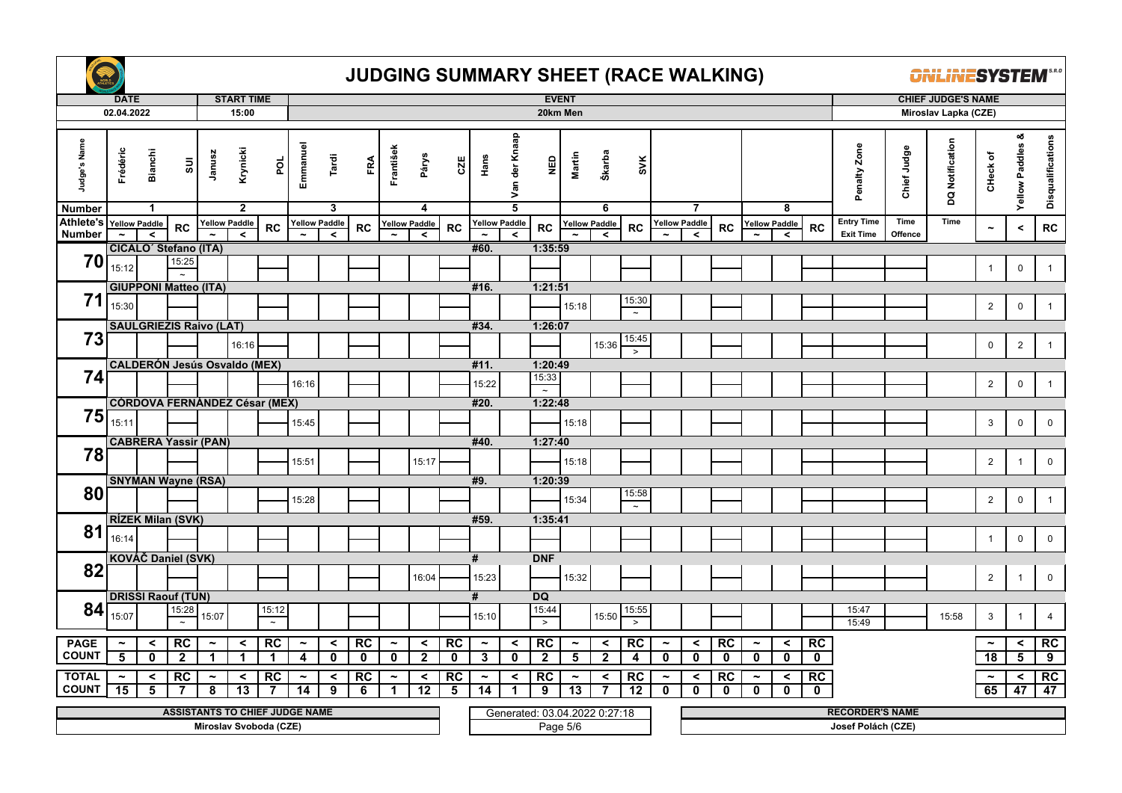

|                               | <b>DATE</b><br>02.04.2022 |                                |                                       |                       | <b>START TIME</b><br>15:00 |                        |                       |                      |                         |                       |                      |             |                       |                                 | 20km Men                      | <b>EVENT</b>          |                      |                       |                       |                      |              |                       |                      |                         |                        |             | <b>CHIEF JUDGE'S NAME</b><br>Miroslav Lapka (CZE) |                       |                            |                   |
|-------------------------------|---------------------------|--------------------------------|---------------------------------------|-----------------------|----------------------------|------------------------|-----------------------|----------------------|-------------------------|-----------------------|----------------------|-------------|-----------------------|---------------------------------|-------------------------------|-----------------------|----------------------|-----------------------|-----------------------|----------------------|--------------|-----------------------|----------------------|-------------------------|------------------------|-------------|---------------------------------------------------|-----------------------|----------------------------|-------------------|
|                               |                           |                                |                                       |                       |                            |                        |                       |                      |                         |                       |                      |             |                       |                                 |                               |                       |                      |                       |                       |                      |              |                       |                      |                         |                        |             |                                                   |                       |                            |                   |
| Judge's Name<br><b>Number</b> | Frédéric                  | <b>Bianchi</b><br>$\mathbf{1}$ | $\Xi$                                 | Janusz                | Krynicki<br>$\overline{2}$ | por                    | Emmanuel              | Tardi<br>3           | FRA                     | František             | Párys<br>4           | CZE         | Hans                  | Van der Knaap<br>$\overline{5}$ | $\frac{6}{2}$                 | Martin                | Škarba<br>6          | SVK                   |                       | $\overline{7}$       |              |                       | 8                    |                         | Penalty Zone           | Chief Judge | DQ Notification                                   | CHeck of              | ೲ<br><b>Yellow Paddles</b> | Disqualifications |
| Athlete's                     | <b>Yellow Paddle</b>      |                                |                                       |                       | <b>Yellow Paddle</b>       |                        |                       | <b>Yellow Paddle</b> |                         |                       | <b>Yellow Paddle</b> |             | <b>Yellow Paddle</b>  |                                 |                               |                       | <b>Yellow Paddle</b> |                       |                       | <b>Yellow Paddle</b> |              |                       | <b>Yellow Paddle</b> |                         | <b>Entry Time</b>      | Time        | Time                                              |                       |                            |                   |
| <b>Number</b>                 |                           | $\overline{\phantom{a}}$       | <b>RC</b>                             |                       | $\prec$                    | <b>RC</b>              |                       | $\prec$              | RC                      |                       | $\prec$              | RC          |                       | $\prec$                         | RC                            |                       | $\prec$              | RC                    |                       | $\prec$              | RC           |                       | $\prec$              | <b>RC</b>               | <b>Exit Time</b>       | Offence     |                                                   | $\tilde{}$            | $\,<$                      | ${\sf RC}$        |
|                               |                           |                                | CICALO <sup>'</sup> Stefano (ITA)     |                       |                            |                        |                       |                      |                         |                       |                      |             | #60.                  |                                 | 1:35:59                       |                       |                      |                       |                       |                      |              |                       |                      |                         |                        |             |                                                   |                       |                            |                   |
| 70                            | 15:12                     |                                | 15:25<br>$\tilde{\phantom{a}}$        |                       |                            |                        |                       |                      |                         |                       |                      |             |                       |                                 |                               |                       |                      |                       |                       |                      |              |                       |                      |                         |                        |             |                                                   | $\overline{1}$        | $\mathbf 0$                | $\mathbf{1}$      |
|                               |                           |                                | <b>GIUPPONI Matteo (ITA)</b>          |                       |                            |                        |                       |                      |                         |                       |                      |             | #16.                  |                                 | 1:21:51                       |                       |                      |                       |                       |                      |              |                       |                      |                         |                        |             |                                                   |                       |                            |                   |
| 71                            | 15:30                     |                                |                                       |                       |                            |                        |                       |                      |                         |                       |                      |             |                       |                                 |                               | 15:18                 |                      | 15:30                 |                       |                      |              |                       |                      |                         |                        |             |                                                   | $\overline{2}$        | $\mathbf 0$                | $\mathbf{1}$      |
|                               |                           |                                |                                       |                       |                            |                        |                       |                      |                         |                       |                      |             |                       |                                 |                               |                       |                      | $\tilde{\phantom{a}}$ |                       |                      |              |                       |                      |                         |                        |             |                                                   |                       |                            |                   |
| 73                            |                           |                                | <b>SAULGRIEZIS Raivo (LAT)</b>        |                       |                            |                        |                       |                      |                         |                       |                      |             | #34.                  |                                 | 1:26:07                       |                       |                      | 15:45                 |                       |                      |              |                       |                      |                         |                        |             |                                                   |                       |                            |                   |
|                               |                           |                                |                                       |                       | 16:16                      |                        |                       |                      |                         |                       |                      |             |                       |                                 |                               |                       | 15:36                | $\geq$                |                       |                      |              |                       |                      |                         |                        |             |                                                   | $\mathbf 0$           | $\overline{2}$             |                   |
|                               |                           |                                | <b>CALDERÓN Jesús Osvaldo (MEX)</b>   |                       |                            |                        |                       |                      |                         |                       |                      |             | #11.                  |                                 | 1:20:49                       |                       |                      |                       |                       |                      |              |                       |                      |                         |                        |             |                                                   |                       |                            |                   |
| 74                            |                           |                                |                                       |                       |                            |                        | 16:16                 |                      |                         |                       |                      |             | 15:22                 |                                 | 15:33<br>$\cdot$              |                       |                      |                       |                       |                      |              |                       |                      |                         |                        |             |                                                   | $\overline{2}$        | $\mathbf 0$                | $\mathbf{1}$      |
|                               |                           |                                | <b>CÓRDOVA FERNÁNDEZ César (MEX)</b>  |                       |                            |                        |                       |                      |                         |                       |                      |             | #20.                  |                                 | 1:22:48                       |                       |                      |                       |                       |                      |              |                       |                      |                         |                        |             |                                                   |                       |                            |                   |
| 75                            | 15:11                     |                                |                                       |                       |                            |                        | 15:45                 |                      |                         |                       |                      |             |                       |                                 |                               | 15:18                 |                      |                       |                       |                      |              |                       |                      |                         |                        |             |                                                   | 3                     | $\pmb{0}$                  | $\mathbf 0$       |
|                               |                           |                                | <b>CABRERA Yassir (PAN)</b>           |                       |                            |                        |                       |                      |                         |                       |                      |             | #40.                  |                                 | 1:27:40                       |                       |                      |                       |                       |                      |              |                       |                      |                         |                        |             |                                                   |                       |                            |                   |
| 78                            |                           |                                |                                       |                       |                            |                        | 15:51                 |                      |                         |                       | 15:17                |             |                       |                                 |                               | 15:18                 |                      |                       |                       |                      |              |                       |                      |                         |                        |             |                                                   | $\overline{2}$        | $\overline{1}$             | $\mathbf 0$       |
|                               |                           |                                | <b>SNYMAN Wayne (RSA)</b>             |                       |                            |                        |                       |                      |                         |                       |                      |             | #9.                   |                                 | 1:20:39                       |                       |                      |                       |                       |                      |              |                       |                      |                         |                        |             |                                                   |                       |                            |                   |
| 80                            |                           |                                |                                       |                       |                            |                        | 15:28                 |                      |                         |                       |                      |             |                       |                                 |                               | 15:34                 |                      | 15:58                 |                       |                      |              |                       |                      |                         |                        |             |                                                   | $\overline{2}$        | $\mathsf 0$                | $\overline{1}$    |
|                               |                           |                                | <b>RÍZEK Milan (SVK)</b>              |                       |                            |                        |                       |                      |                         |                       |                      |             |                       |                                 |                               |                       |                      | $\tilde{\phantom{a}}$ |                       |                      |              |                       |                      |                         |                        |             |                                                   |                       |                            |                   |
| 81                            |                           |                                |                                       |                       |                            |                        |                       |                      |                         |                       |                      |             | #59.                  |                                 | 1:35:41                       |                       |                      |                       |                       |                      |              |                       |                      |                         |                        |             |                                                   |                       |                            |                   |
|                               | 16:14                     |                                |                                       |                       |                            |                        |                       |                      |                         |                       |                      |             |                       |                                 |                               |                       |                      |                       |                       |                      |              |                       |                      |                         |                        |             |                                                   | $\mathbf{1}$          | $\mathbf 0$                | $\mathbf 0$       |
|                               |                           |                                | KOVÁČ Daniel (SVK)                    |                       |                            |                        |                       |                      |                         |                       |                      |             | #                     |                                 | <b>DNF</b>                    |                       |                      |                       |                       |                      |              |                       |                      |                         |                        |             |                                                   |                       |                            |                   |
| 82                            |                           |                                |                                       |                       |                            |                        |                       |                      |                         |                       | 16:04                |             | 15:23                 |                                 |                               | 15:32                 |                      |                       |                       |                      |              |                       |                      |                         |                        |             |                                                   | $\overline{2}$        | $\overline{1}$             | $\mathbf 0$       |
|                               |                           |                                | <b>DRISSI Raouf (TUN)</b>             |                       |                            |                        |                       |                      |                         |                       |                      |             | #                     |                                 | <b>DQ</b>                     |                       |                      |                       |                       |                      |              |                       |                      |                         |                        |             |                                                   |                       |                            |                   |
| 84                            |                           |                                | 15:28                                 |                       |                            | 15:12                  |                       |                      |                         |                       |                      |             |                       |                                 | 15:44                         |                       |                      | 15:55                 |                       |                      |              |                       |                      |                         | 15:47                  |             |                                                   |                       |                            |                   |
|                               | 15:07                     |                                |                                       | 15:07                 |                            | $\sim$                 |                       |                      |                         |                       |                      |             | 15:10                 |                                 | $\overline{\phantom{0}}$      |                       | 15:50                | $\geq$                |                       |                      |              |                       |                      |                         | 15:49                  |             | 15:58                                             | $\mathbf{3}$          | $\overline{1}$             | $\overline{4}$    |
| <b>PAGE</b>                   | $\tilde{\phantom{a}}$     | $\prec$                        | RC                                    | $\tilde{\phantom{a}}$ | $\prec$                    | RC                     | $\thicksim$           | $\prec$              | RC                      | $\tilde{\phantom{a}}$ | $\prec$              | RC          | $\tilde{\phantom{a}}$ | $\prec$                         | RC                            | $\tilde{\phantom{a}}$ | $\prec$              | RC                    | $\tilde{\phantom{a}}$ | $\prec$              | RC           | $\tilde{\phantom{a}}$ | $\prec$              | RC                      |                        |             |                                                   | $\tilde{\phantom{a}}$ | $\prec$                    | RC                |
| <b>COUNT</b>                  | 5                         | $\mathbf{0}$                   | $\overline{2}$                        | 1                     | $\mathbf{1}$               | $\mathbf 1$            | 4                     | $\mathbf{0}$         | $\mathbf 0$             | $\mathbf 0$           | $\mathbf{2}$         | $\mathbf 0$ | 3                     | $\mathbf 0$                     | $\mathbf{2}$                  | 5                     | $\overline{2}$       | 4                     | $\mathbf{0}$          | $\mathbf 0$          | $\mathbf{0}$ | $\mathbf 0$           | $\mathbf 0$          | $\mathbf 0$             |                        |             |                                                   | 18                    | 5                          | 9                 |
| <b>TOTAL</b>                  | $\tilde{\phantom{a}}$     | $\prec$                        | RC                                    | $\tilde{\phantom{a}}$ | $\prec$                    | RC                     | $\tilde{\phantom{a}}$ | $\prec$              | RC                      | $\tilde{\phantom{a}}$ | $\prec$              | RC          | $\tilde{\phantom{a}}$ | $\prec$                         | RC                            | $\tilde{\phantom{a}}$ | $\checkmark$         | RC                    | $\tilde{\phantom{a}}$ | $\prec$              | RC           | $\tilde{\phantom{a}}$ | $\prec$              | RC                      |                        |             |                                                   | $\tilde{\phantom{a}}$ | $\prec$                    | RC                |
| <b>COUNT</b>                  | 15                        | $\overline{\mathbf{5}}$        | $\overline{7}$                        | 8                     | $\overline{13}$            | $\overline{7}$         | 14                    | $\overline{9}$       | $\overline{\mathbf{6}}$ | $\mathbf{1}$          | 12                   | 5           | 14                    | $\blacktriangleleft$            | 9                             | 13                    | $\overline{7}$       | $\overline{12}$       | $\mathbf 0$           | $\mathbf 0$          | $\mathbf{0}$ | $\mathbf 0$           | $\mathbf{0}$         | $\overline{\mathbf{0}}$ |                        |             |                                                   | 65                    | 47                         | 47                |
|                               |                           |                                | <b>ASSISTANTS TO CHIEF JUDGE NAME</b> |                       |                            |                        |                       |                      |                         |                       |                      |             |                       |                                 | Generated: 03.04.2022 0:27:18 |                       |                      |                       |                       |                      |              |                       |                      |                         | <b>RECORDER'S NAME</b> |             |                                                   |                       |                            |                   |
|                               |                           |                                |                                       |                       |                            | Miroslav Svoboda (CZE) |                       |                      |                         |                       |                      |             |                       |                                 |                               | Page 5/6              |                      |                       |                       |                      |              |                       |                      |                         | Josef Polách (CZE)     |             |                                                   |                       |                            |                   |